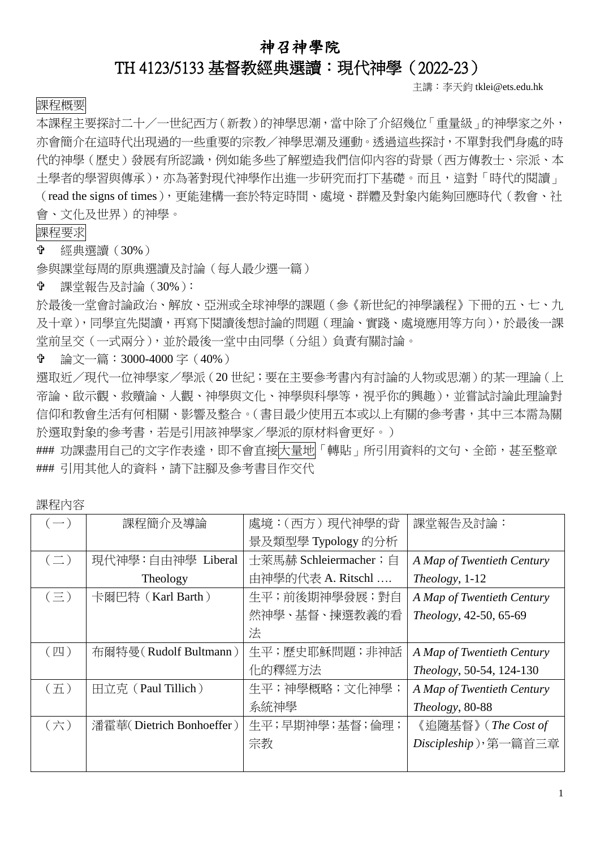## 神召神學院

## TH 4123/5133 基督教經典選讀:現代神學(2022-23)

主講:李天鈞 tklei@ets.edu.hk

## 課程概要

本課程主要探討二十/一世紀西方(新教)的神學思潮,當中除了介紹幾位「重量級」的神學家之外, 亦會簡介在這時代出現過的一些重要的宗教/神學思潮及運動。透過這些探討,不單對我們身處的時 代的神學(歷史)發展有所認識,例如能多些了解塑造我們信仰內容的背景(西方傳教士、宗派、本 土學者的學習與傳承),亦為著對現代神學作出進一步研究而打下基礎。而且,這對「時代的閱讀」 (read the signs of times),更能建構一套於特定時間、處境、群體及對象內能夠回應時代(教會、社

會、文化及世界)的神學。

課程要求

經典選讀(30%)

參與課堂每周的原典選讀及討論(每人最少選一篇)

課堂報告及討論(30%):

於最後一堂會討論政治、解放、亞洲或全球神學的課題(參《新世紀的神學議程》下冊的五、七、九 及十章),同學宜先閱讀,再寫下閱讀後想討論的問題(理論、實踐、處境應用等方向),於最後一課 堂前呈交(一式兩分),並於最後一堂中由同學(分組)負責有關討論。

論文一篇:3000-4000 字(40%)

選取近/現代一位神學家/學派(20 世紀;要在主要參考書內有討論的人物或思潮)的某一理論(上 帝論、啟示觀、救贖論、人觀、神學與文化、神學與科學等,視乎你的興趣),並嘗試討論此理論對 信仰和教會生活有何相關、影響及整合。(書目最少使用五本或以上有關的參考書,其中三本需為關 於選取對象的參考書,若是引用該神學家/學派的原材料會更好。)

### 功課盡用自己的文字作表達,即不會直接大量地「轉貼」所引用資料的文句、全節,甚至整章 ### 引用其他人的資料,請下註腳及參考書目作交代

| $\left( \frac{1}{2} \right)$ | 課程簡介及導論                  | 處境:(西方) 現代神學的背         | 課堂報告及討論:                   |
|------------------------------|--------------------------|------------------------|----------------------------|
|                              |                          | 景及類型學 Typology 的分析     |                            |
| $(\equiv)$                   | 現代神學:自由神學 Liberal        | 十萊馬赫 Schleiermacher; 自 | A Map of Twentieth Century |
|                              | Theology                 | 由神學的代表 A. Ritschl      | Theology, 1-12             |
| $(\equiv)$                   | 卡爾巴特 (Karl Barth)        | 生平; 前後期神學發展; 對自        | A Map of Twentieth Century |
|                              |                          | 然神學、基督、揀選教義的看          | Theology, 42-50, 65-69     |
|                              |                          | 法                      |                            |
| (四)                          | 布爾特曼 (Rudolf Bultmann)   | 生平;歷史耶穌問題;非神話          | A Map of Twentieth Century |
|                              |                          | 化的釋經方法                 | Theology, 50-54, 124-130   |
| (五)                          | 田立克 (Paul Tillich)       | 生平;神學概略;文化神學;          | A Map of Twentieth Century |
|                              |                          | 系統神學                   | Theology, 80-88            |
| (六)                          | 潘霍華(Dietrich Bonhoeffer) | 生平;早期神學;基督;倫理;         | 《追隨基督》 (The Cost of        |
|                              |                          | 宗教                     | Discipleship), 第一篇首三章      |
|                              |                          |                        |                            |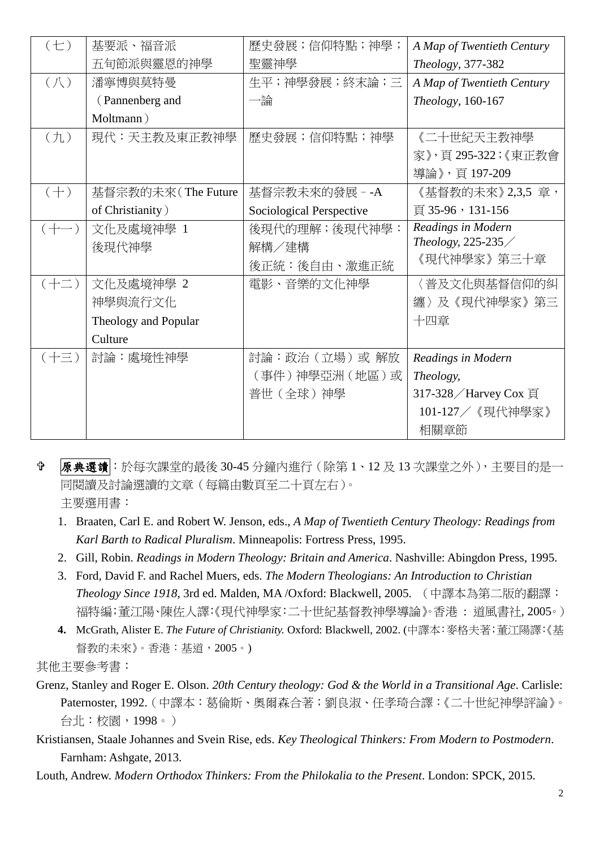| $(\pm)$        | 基要派、福音派              | 歷史發展;信仰特點;神學;            | A Map of Twentieth Century |
|----------------|----------------------|--------------------------|----------------------------|
|                | 五旬節派與靈恩的神學           | 聖靈神學                     | Theology, 377-382          |
| $(\Lambda)$    | 潘寧博與莫特曼              | 生平;神學發展;終末論;三            | A Map of Twentieth Century |
|                | (Pannenberg and      | 一論                       | Theology, 160-167          |
|                | Moltmann)            |                          |                            |
| $(\nexists L)$ | 現代:天主教及東正教神學         | 歷史發展;信仰特點;神學             | 《二十世紀天主教神學                 |
|                |                      |                          | 家》,頁 295-322;《東正教會         |
|                |                      |                          | 導論》,頁 197-209              |
| $(+)$          | 基督宗教的未來(The Future   | 基督宗教未來的發展 - -A           | 《基督教的未來》2,3,5 章,           |
|                | of Christianity)     | Sociological Perspective | 頁 35-96, 131-156           |
| $(+-)$         | 文化及處境神學 1            | 後現代的理解;後現代神學:            | Readings in Modern         |
|                | 後現代神學                | 解構/建構                    | Theology, 225-235/         |
|                |                      | 後正統:後自由、激進正統             | 《現代神學家》第三十章                |
| $(+\equiv)$    | 文化及處境神學 2            | 電影、音樂的文化神學               | 〈普及文化與基督信仰的糾               |
|                | 神學與流行文化              |                          | 纏〉及《現代神學家》第三               |
|                | Theology and Popular |                          | 十四章                        |
|                | Culture              |                          |                            |
| $(+\equiv)$    | 討論:處境性神學             | 討論:政治 (立場) 或 解放          | Readings in Modern         |
|                |                      | (事件)神學亞洲 (地區)或           | Theology,                  |
|                |                      | 普世 (全球) 神學               | 317-328 / Harvey Cox 頁     |
|                |                      |                          | 101-127 / 《現代神學家》          |
|                |                      |                          | 相關章節                       |

 原典選讀:於每次課堂的最後 30-45 分鐘內進行(除第 1、12 及 13 次課堂之外),主要目的是一 同閱讀及討論選讀的文章(每篇由數頁至二十頁左右)。 主要選用書:

- 1. Braaten, Carl E. and Robert W. Jenson, eds., *A Map of Twentieth Century Theology: Readings from Karl Barth to Radical Pluralism*. Minneapolis: Fortress Press, 1995.
- 2. Gill, Robin. *Readings in Modern Theology: Britain and America*. Nashville: Abingdon Press, 1995.
- 3. Ford, David F. and Rachel Muers, eds. *The Modern Theologians: An Introduction to Christian Theology Since 1918*, 3rd ed. Malden, MA /Oxford: Blackwell, 2005. (中譯本為第二版的翻譯: 福特編;董江陽、陳佐人譯:《現代神學家:二十世紀基督教神學導論》。香港 : 道風書社, 2005。)
- **4.** McGrath, Alister E. *The Future of Christianity.* Oxford: Blackwell, 2002. (中譯本:麥格夫著;董江陽譯:《基 督教的未來》。香港:基道,2005。)

其他主要參考書:

- Grenz, Stanley and Roger E. Olson. *20th Century theology: God & the World in a Transitional Age*. Carlisle: Paternoster, 1992.(中譯本:葛倫斯、奧爾森合著;劉良淑、任孝琦合譯:《二十世紀神學評論》。 台北:校園,1998。)
- Kristiansen, Staale Johannes and Svein Rise, eds. *Key Theological Thinkers: From Modern to Postmodern*. Farnham: Ashgate, 2013.
- Louth, Andrew. *Modern Orthodox Thinkers: From the Philokalia to the Present*. London: SPCK, 2015.